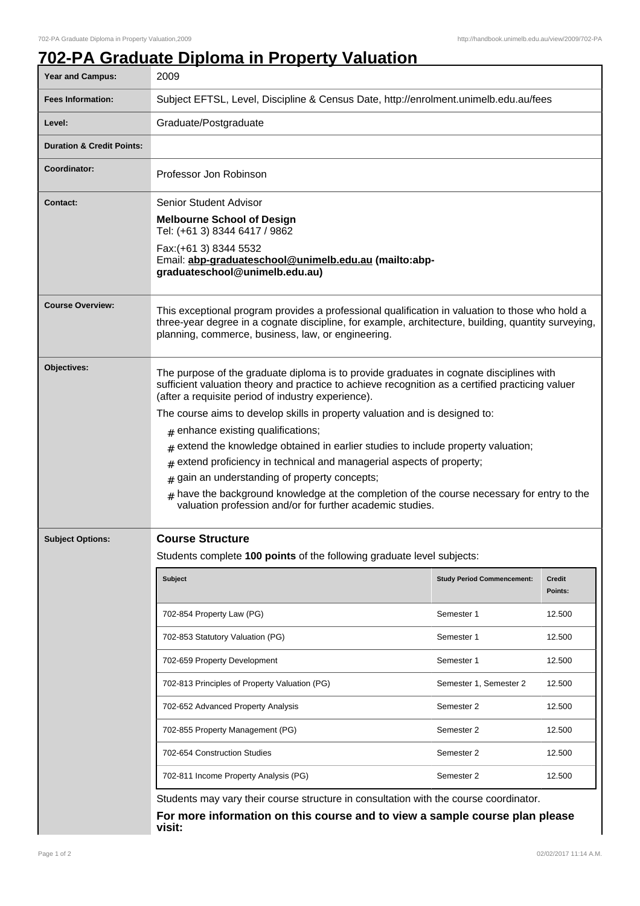## **702-PA Graduate Diploma in Property Valuation**

| Year and Campus:                     | 2009                                                                                                                                                                                                                                                                                                                                                                                                                                                                                                                                                                                                                                                                                                                                                               |                                   |                   |  |
|--------------------------------------|--------------------------------------------------------------------------------------------------------------------------------------------------------------------------------------------------------------------------------------------------------------------------------------------------------------------------------------------------------------------------------------------------------------------------------------------------------------------------------------------------------------------------------------------------------------------------------------------------------------------------------------------------------------------------------------------------------------------------------------------------------------------|-----------------------------------|-------------------|--|
| <b>Fees Information:</b>             | Subject EFTSL, Level, Discipline & Census Date, http://enrolment.unimelb.edu.au/fees                                                                                                                                                                                                                                                                                                                                                                                                                                                                                                                                                                                                                                                                               |                                   |                   |  |
| Level:                               | Graduate/Postgraduate                                                                                                                                                                                                                                                                                                                                                                                                                                                                                                                                                                                                                                                                                                                                              |                                   |                   |  |
| <b>Duration &amp; Credit Points:</b> |                                                                                                                                                                                                                                                                                                                                                                                                                                                                                                                                                                                                                                                                                                                                                                    |                                   |                   |  |
| Coordinator:                         | Professor Jon Robinson                                                                                                                                                                                                                                                                                                                                                                                                                                                                                                                                                                                                                                                                                                                                             |                                   |                   |  |
| <b>Contact:</b>                      | <b>Senior Student Advisor</b><br><b>Melbourne School of Design</b><br>Tel: (+61 3) 8344 6417 / 9862<br>Fax: (+61 3) 8344 5532<br>Email: abp-graduateschool@unimelb.edu.au (mailto:abp-<br>graduateschool@unimelb.edu.au)                                                                                                                                                                                                                                                                                                                                                                                                                                                                                                                                           |                                   |                   |  |
| <b>Course Overview:</b>              | This exceptional program provides a professional qualification in valuation to those who hold a<br>three-year degree in a cognate discipline, for example, architecture, building, quantity surveying,<br>planning, commerce, business, law, or engineering.                                                                                                                                                                                                                                                                                                                                                                                                                                                                                                       |                                   |                   |  |
| Objectives:                          | The purpose of the graduate diploma is to provide graduates in cognate disciplines with<br>sufficient valuation theory and practice to achieve recognition as a certified practicing valuer<br>(after a requisite period of industry experience).<br>The course aims to develop skills in property valuation and is designed to:<br>$#$ enhance existing qualifications;<br>extend the knowledge obtained in earlier studies to include property valuation;<br>$\pm$<br>extend proficiency in technical and managerial aspects of property;<br>#<br>gain an understanding of property concepts;<br>#<br>have the background knowledge at the completion of the course necessary for entry to the<br>#<br>valuation profession and/or for further academic studies. |                                   |                   |  |
| <b>Subject Options:</b>              | <b>Course Structure</b><br>Students complete 100 points of the following graduate level subjects:                                                                                                                                                                                                                                                                                                                                                                                                                                                                                                                                                                                                                                                                  |                                   |                   |  |
|                                      | <b>Subject</b>                                                                                                                                                                                                                                                                                                                                                                                                                                                                                                                                                                                                                                                                                                                                                     | <b>Study Period Commencement:</b> | Credit<br>Points: |  |
|                                      | 702-854 Property Law (PG)                                                                                                                                                                                                                                                                                                                                                                                                                                                                                                                                                                                                                                                                                                                                          | Semester 1                        | 12.500            |  |
|                                      | 702-853 Statutory Valuation (PG)                                                                                                                                                                                                                                                                                                                                                                                                                                                                                                                                                                                                                                                                                                                                   | Semester 1                        | 12.500            |  |
|                                      | 702-659 Property Development                                                                                                                                                                                                                                                                                                                                                                                                                                                                                                                                                                                                                                                                                                                                       | Semester 1                        | 12.500            |  |
|                                      | 702-813 Principles of Property Valuation (PG)                                                                                                                                                                                                                                                                                                                                                                                                                                                                                                                                                                                                                                                                                                                      | Semester 1, Semester 2            | 12.500            |  |
|                                      | 702-652 Advanced Property Analysis                                                                                                                                                                                                                                                                                                                                                                                                                                                                                                                                                                                                                                                                                                                                 | Semester 2                        | 12.500            |  |
|                                      | 702-855 Property Management (PG)                                                                                                                                                                                                                                                                                                                                                                                                                                                                                                                                                                                                                                                                                                                                   | Semester 2                        | 12.500            |  |
|                                      | 702-654 Construction Studies                                                                                                                                                                                                                                                                                                                                                                                                                                                                                                                                                                                                                                                                                                                                       | Semester 2                        | 12.500            |  |
|                                      | 702-811 Income Property Analysis (PG)                                                                                                                                                                                                                                                                                                                                                                                                                                                                                                                                                                                                                                                                                                                              | Semester 2                        | 12.500            |  |
|                                      | Students may vary their course structure in consultation with the course coordinator.<br>For more information on this course and to view a sample course plan please<br>visit:                                                                                                                                                                                                                                                                                                                                                                                                                                                                                                                                                                                     |                                   |                   |  |